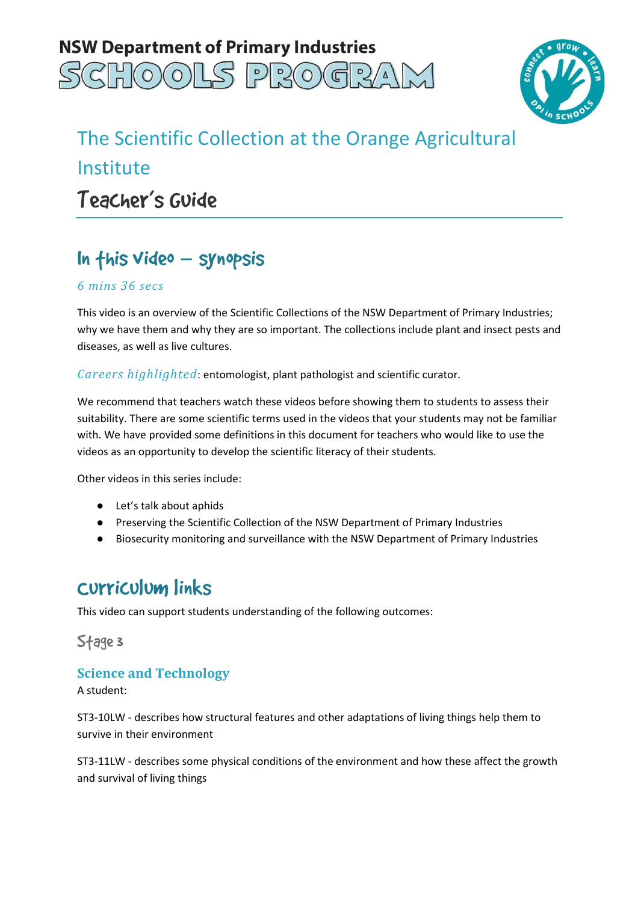



# The Scientific Collection at the Orange Agricultural Teacher's Guide Institute

## In this video – synopsis

#### *6 mins 36 secs*

 This video is an overview of the Scientific Collections of the NSW Department of Primary Industries; why we have them and why they are so important. The collections include plant and insect pests and diseases, as well as live cultures.

*Careers highlighted*: entomologist, plant pathologist and scientific curator.

 We recommend that teachers watch these videos before showing them to students to assess their suitability. There are some scientific terms used in the videos that your students may not be familiar with. We have provided some definitions in this document for teachers who would like to use the videos as an opportunity to develop the scientific literacy of their students.

Other videos in this series include:

- Let's talk about aphids
- Preserving the Scientific Collection of the NSW Department of Primary Industries
- Biosecurity monitoring and surveillance with the NSW Department of Primary Industries

### Curriculum links

This video can support students understanding of the following outcomes:

Stage 3

#### **Science and Technology**

A student:

 ST3-10LW - describes how structural features and other adaptations of living things help them to survive in their environment

 ST3-11LW - describes some physical conditions of the environment and how these affect the growth and survival of living things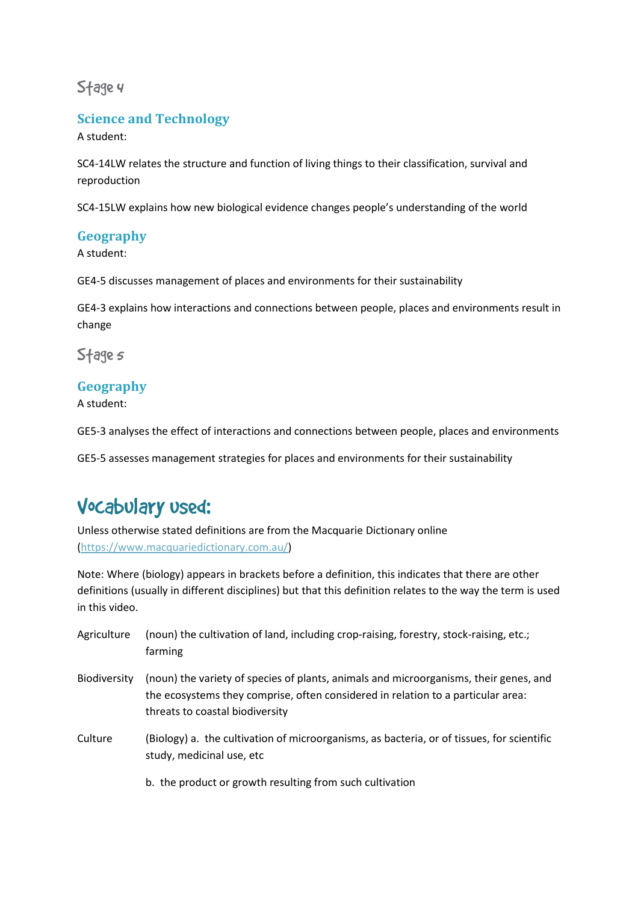Stage 4

### **Science and Technology**

A student:

 SC4-14LW relates the structure and function of living things to their classification, survival and reproduction

reproduction<br>SC4-15LW explains how new biological evidence changes people's understanding of the world

### **Geography**

A student:

GE4-5 discusses management of places and environments for their sustainability

 GE4-3 explains how interactions and connections between people, places and environments result in change

Stage*s* 

### **Geography**

A student:

GE5-3 analyses the effect of interactions and connections between people, places and environments

GE5-5 assesses management strategies for places and environments for their sustainability

### Vocabulary used:

 Unless otherwise stated definitions are from the Macquarie Dictionary online (https://www.macquariedictionary.com.au/)

 Note: Where (biology) appears in brackets before a definition, this indicates that there are other definitions (usually in different disciplines) but that this definition relates to the way the term is used in this video.

| Agriculture         | (noun) the cultivation of land, including crop-raising, forestry, stock-raising, etc.;<br>farming                                                                                                            |
|---------------------|--------------------------------------------------------------------------------------------------------------------------------------------------------------------------------------------------------------|
| <b>Biodiversity</b> | (noun) the variety of species of plants, animals and microorganisms, their genes, and<br>the ecosystems they comprise, often considered in relation to a particular area:<br>threats to coastal biodiversity |
| Culture             | (Biology) a. the cultivation of microorganisms, as bacteria, or of tissues, for scientific<br>study, medicinal use, etc                                                                                      |
|                     | b. the product or growth resulting from such cultivation                                                                                                                                                     |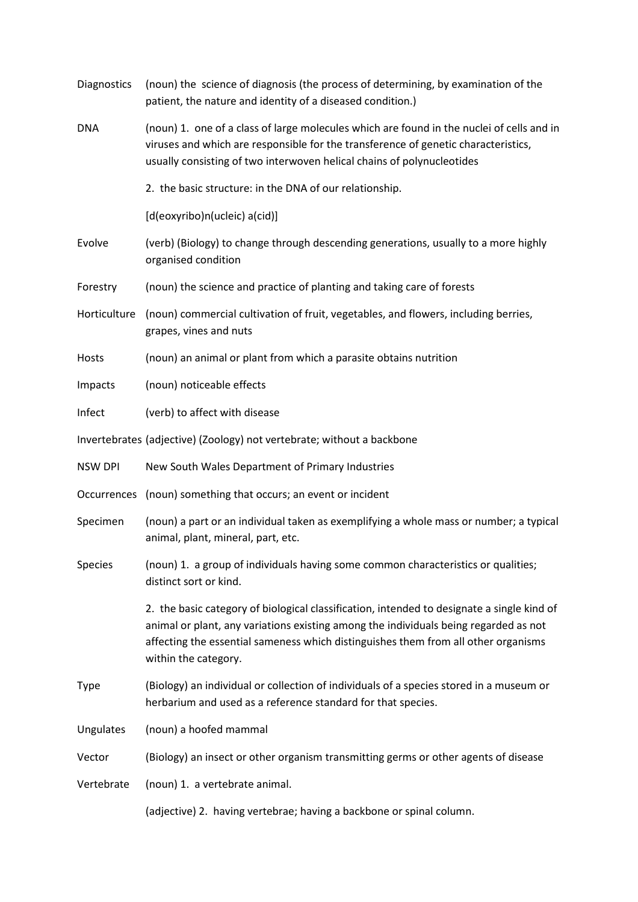| <b>Diagnostics</b> | (noun) the science of diagnosis (the process of determining, by examination of the<br>patient, the nature and identity of a diseased condition.)                                                                                                                                                 |
|--------------------|--------------------------------------------------------------------------------------------------------------------------------------------------------------------------------------------------------------------------------------------------------------------------------------------------|
| DNA                | (noun) 1. one of a class of large molecules which are found in the nuclei of cells and in<br>viruses and which are responsible for the transference of genetic characteristics,<br>usually consisting of two interwoven helical chains of polynucleotides                                        |
|                    | 2. the basic structure: in the DNA of our relationship.                                                                                                                                                                                                                                          |
|                    | [d(eoxyribo)n(ucleic) a(cid)]                                                                                                                                                                                                                                                                    |
| Evolve             | (verb) (Biology) to change through descending generations, usually to a more highly<br>organised condition                                                                                                                                                                                       |
| Forestry           | (noun) the science and practice of planting and taking care of forests                                                                                                                                                                                                                           |
| Horticulture       | (noun) commercial cultivation of fruit, vegetables, and flowers, including berries,<br>grapes, vines and nuts                                                                                                                                                                                    |
| Hosts              | (noun) an animal or plant from which a parasite obtains nutrition                                                                                                                                                                                                                                |
| Impacts            | (noun) noticeable effects                                                                                                                                                                                                                                                                        |
| Infect             | (verb) to affect with disease                                                                                                                                                                                                                                                                    |
|                    | Invertebrates (adjective) (Zoology) not vertebrate; without a backbone                                                                                                                                                                                                                           |
| <b>NSW DPI</b>     | New South Wales Department of Primary Industries                                                                                                                                                                                                                                                 |
|                    | Occurrences (noun) something that occurs; an event or incident                                                                                                                                                                                                                                   |
| Specimen           | (noun) a part or an individual taken as exemplifying a whole mass or number; a typical<br>animal, plant, mineral, part, etc.                                                                                                                                                                     |
| Species            | (noun) 1. a group of individuals having some common characteristics or qualities;<br>distinct sort or kind.                                                                                                                                                                                      |
|                    | 2. the basic category of biological classification, intended to designate a single kind of<br>animal or plant, any variations existing among the individuals being regarded as not<br>affecting the essential sameness which distinguishes them from all other organisms<br>within the category. |
| <b>Type</b>        | (Biology) an individual or collection of individuals of a species stored in a museum or<br>herbarium and used as a reference standard for that species.                                                                                                                                          |
| Ungulates          | (noun) a hoofed mammal                                                                                                                                                                                                                                                                           |
| Vector             | (Biology) an insect or other organism transmitting germs or other agents of disease                                                                                                                                                                                                              |
| Vertebrate         | (noun) 1. a vertebrate animal.                                                                                                                                                                                                                                                                   |
|                    | (adjective) 2. having vertebrae; having a backbone or spinal column.                                                                                                                                                                                                                             |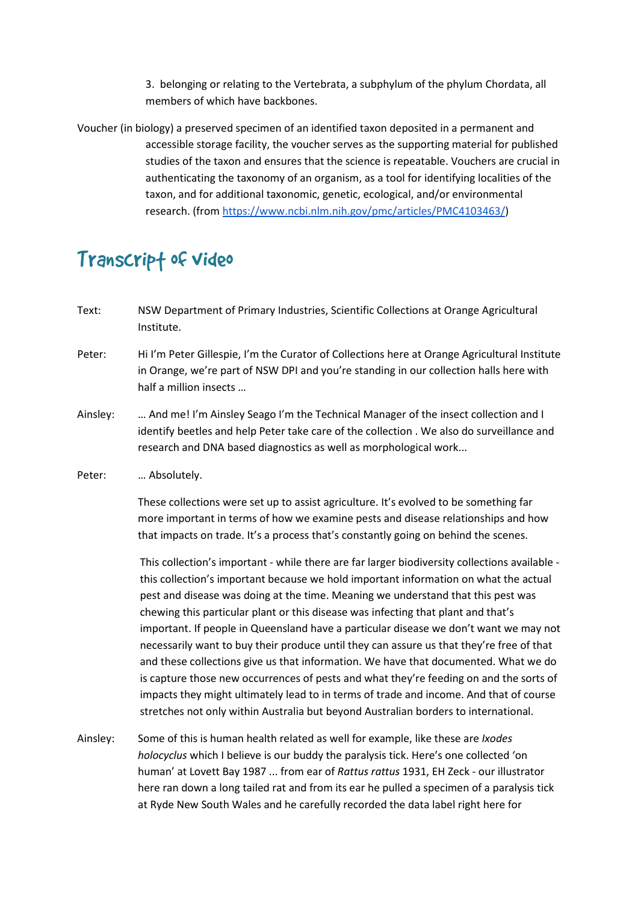3. belonging or relating to the Vertebrata, a subphylum of the phylum Chordata, all members of which have backbones.

 Voucher (in biology) a preserved specimen of an identified taxon deposited in a permanent and accessible storage facility, the voucher serves as the supporting material for published studies of the taxon and ensures that the science is repeatable. Vouchers are crucial in authenticating the taxonomy of an organism, as a tool for identifying localities of the taxon, and for additional taxonomic, genetic, ecological, and/or environmental research. (from https://www.ncbi.nlm.nih.gov/pmc/articles/PMC4103463/)

### Transcrip† of video

- Text: NSW Department of Primary Industries, Scientific Collections at Orange Agricultural Institute.
- Peter: in Orange, we're part of NSW DPI and you're standing in our collection halls here with half a million insects … Hi I'm Peter Gillespie, I'm the Curator of Collections here at Orange Agricultural Institute
- Ainsley: identify beetles and help Peter take care of the collection . We also do surveillance and research and DNA based diagnostics as well as morphological work... ... And me! I'm Ainsley Seago I'm the Technical Manager of the insect collection and I
- Peter: ... Absolutely.

 These collections were set up to assist agriculture. It's evolved to be something far more important in terms of how we examine pests and disease relationships and how that impacts on trade. It's a process that's constantly going on behind the scenes.

 This collection's important - while there are far larger biodiversity collections available - this collection's important because we hold important information on what the actual pest and disease was doing at the time. Meaning we understand that this pest was chewing this particular plant or this disease was infecting that plant and that's important. If people in Queensland have a particular disease we don't want we may not necessarily want to buy their produce until they can assure us that they're free of that and these collections give us that information. We have that documented. What we do is capture those new occurrences of pests and what they're feeding on and the sorts of impacts they might ultimately lead to in terms of trade and income. And that of course stretches not only within Australia but beyond Australian borders to international.

Ainsley: *holocyclus* which I believe is our buddy the paralysis tick. Here's one collected 'on human' at Lovett Bay 1987 ... from ear of *Rattus rattus* 1931, EH Zeck - our illustrator here ran down a long tailed rat and from its ear he pulled a specimen of a paralysis tick at Ryde New South Wales and he carefully recorded the data label right here for Some of this is human health related as well for example, like these are *Ixodes*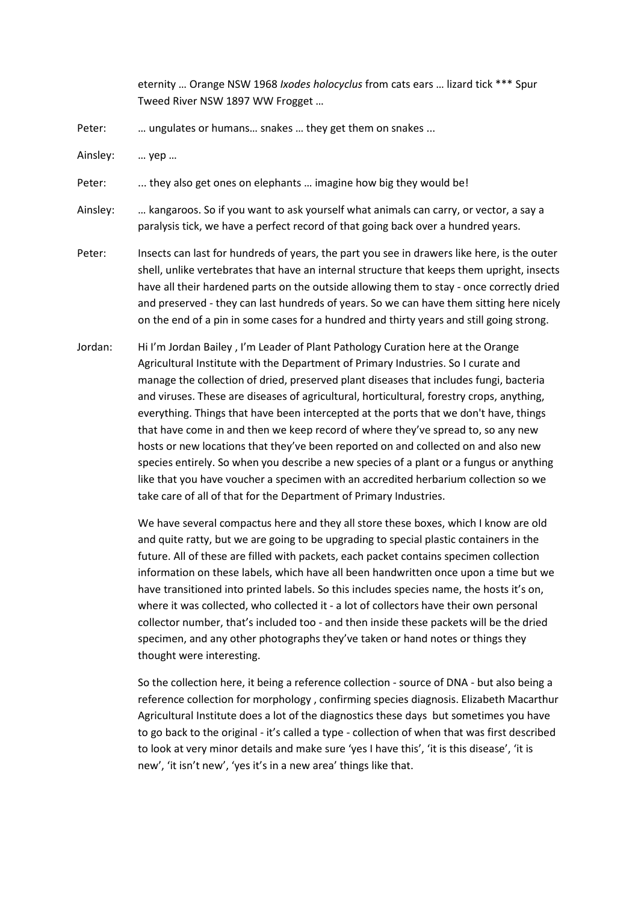eternity … Orange NSW 1968 *Ixodes holocyclus* from cats ears … lizard tick \*\*\* Spur Tweed River NSW 1897 WW Frogget …

Peter: ... ungulates or humans... snakes ... they get them on snakes ...

Ainsley: … yep …

Peter: ... they also get ones on elephants ... imagine how big they would be!

Ainsley: paralysis tick, we have a perfect record of that going back over a hundred years. ... kangaroos. So if you want to ask yourself what animals can carry, or vector, a say a

- Peter: shell, unlike vertebrates that have an internal structure that keeps them upright, insects have all their hardened parts on the outside allowing them to stay - once correctly dried and preserved - they can last hundreds of years. So we can have them sitting here nicely on the end of a pin in some cases for a hundred and thirty years and still going strong. Insects can last for hundreds of years, the part you see in drawers like here, is the outer
- Jordan: Agricultural Institute with the Department of Primary Industries. So I curate and manage the collection of dried, preserved plant diseases that includes fungi, bacteria and viruses. These are diseases of agricultural, horticultural, forestry crops, anything, everything. Things that have been intercepted at the ports that we don't have, things that have come in and then we keep record of where they've spread to, so any new hosts or new locations that they've been reported on and collected on and also new species entirely. So when you describe a new species of a plant or a fungus or anything like that you have voucher a specimen with an accredited herbarium collection so we take care of all of that for the Department of Primary Industries. Hi I'm Jordan Bailey, I'm Leader of Plant Pathology Curation here at the Orange

 We have several compactus here and they all store these boxes, which I know are old and quite ratty, but we are going to be upgrading to special plastic containers in the future. All of these are filled with packets, each packet contains specimen collection information on these labels, which have all been handwritten once upon a time but we have transitioned into printed labels. So this includes species name, the hosts it's on, where it was collected, who collected it - a lot of collectors have their own personal collector number, that's included too - and then inside these packets will be the dried specimen, and any other photographs they've taken or hand notes or things they thought were interesting.

 So the collection here, it being a reference collection - source of DNA - but also being a reference collection for morphology , confirming species diagnosis. Elizabeth Macarthur Agricultural Institute does a lot of the diagnostics these days but sometimes you have to go back to the original - it's called a type - collection of when that was first described new', 'it isn't new', 'yes it's in a new area' things like that. to look at very minor details and make sure 'yes I have this', 'it is this disease', 'it is